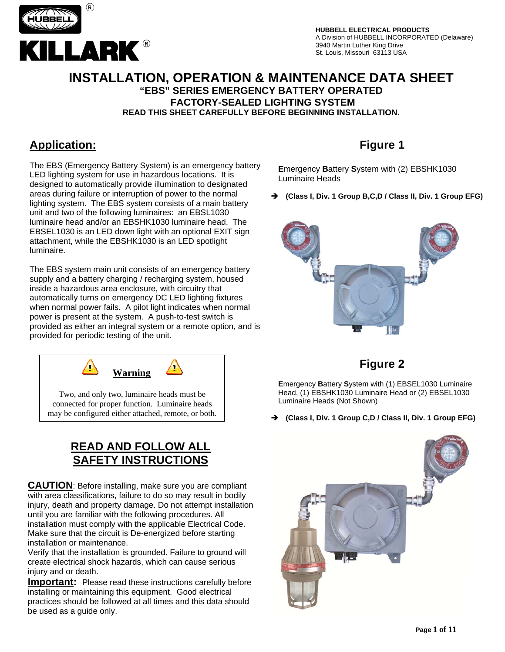

#### **INSTALLATION, OPERATION & MAINTENANCE DATA SHEET "EBS" SERIES EMERGENCY BATTERY OPERATED FACTORY-SEALED LIGHTING SYSTEM READ THIS SHEET CAREFULLY BEFORE BEGINNING INSTALLATION.**

### **Application:**

The EBS (Emergency Battery System) is an emergency battery LED lighting system for use in hazardous locations. It is designed to automatically provide illumination to designated areas during failure or interruption of power to the normal lighting system. The EBS system consists of a main battery unit and two of the following luminaires: an EBSL1030 luminaire head and/or an EBSHK1030 luminaire head. The EBSEL1030 is an LED down light with an optional EXIT sign attachment, while the EBSHK1030 is an LED spotlight luminaire.

The EBS system main unit consists of an emergency battery supply and a battery charging / recharging system, housed inside a hazardous area enclosure, with circuitry that automatically turns on emergency DC LED lighting fixtures when normal power fails. A pilot light indicates when normal power is present at the system. A push-to-test switch is provided as either an integral system or a remote option, and is provided for periodic testing of the unit.



connected for proper function. Luminaire heads may be configured either attached, remote, or both.

### **READ AND FOLLOW ALL SAFETY INSTRUCTIONS**

**CAUTION**: Before installing, make sure you are compliant with area classifications, failure to do so may result in bodily injury, death and property damage. Do not attempt installation until you are familiar with the following procedures. All installation must comply with the applicable Electrical Code. Make sure that the circuit is De-energized before starting installation or maintenance.

Verify that the installation is grounded. Failure to ground will create electrical shock hazards, which can cause serious injury and or death.

**Important:** Please read these instructions carefully before installing or maintaining this equipment. Good electrical practices should be followed at all times and this data should be used as a guide only.

# **Figure 1**

**E**mergency **B**attery **S**ystem with (2) EBSHK1030 Luminaire Heads

Î **(Class I, Div. 1 Group B,C,D / Class II, Div. 1 Group EFG)** 



### **Figure 2**

**E**mergency **B**attery **S**ystem with (1) EBSEL1030 Luminaire Head, (1) EBSHK1030 Luminaire Head or (2) EBSEL1030 Luminaire Heads (Not Shown)

Î **(Class I, Div. 1 Group C,D / Class II, Div. 1 Group EFG)** 

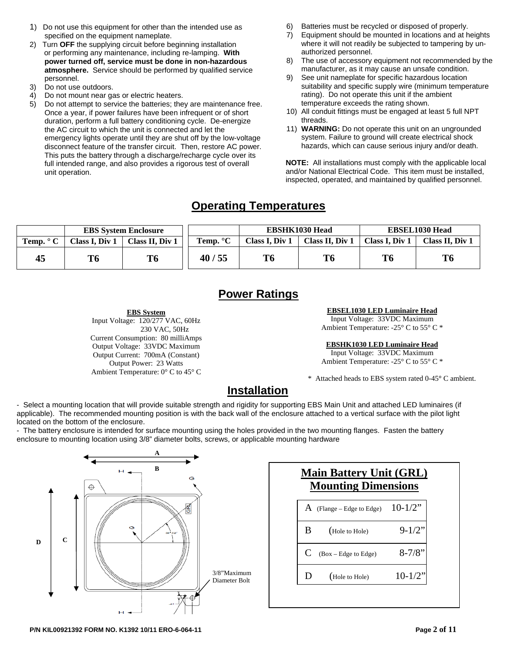- 1) Do not use this equipment for other than the intended use as specified on the equipment nameplate.
- 2) Turn **OFF** the supplying circuit before beginning installation or performing any maintenance, including re-lamping. **With power turned off, service must be done in non-hazardous atmosphere.** Service should be performed by qualified service personnel.
- 3) Do not use outdoors.
- 4) Do not mount near gas or electric heaters.
- 5) Do not attempt to service the batteries; they are maintenance free. Once a year, if power failures have been infrequent or of short duration, perform a full battery conditioning cycle. De-energize the AC circuit to which the unit is connected and let the emergency lights operate until they are shut off by the low-voltage disconnect feature of the transfer circuit. Then, restore AC power. This puts the battery through a discharge/recharge cycle over its full intended range, and also provides a rigorous test of overall unit operation.

**EBS System** Input Voltage: 120/277 VAC, 60Hz

Current Consumption: 80 milliAmps Output Voltage: 33VDC Maximum Output Current: 700mA (Constant) Output Power: 23 Watts Ambient Temperature: 0° C to 45° C

230 VAC, 50Hz

- 6) Batteries must be recycled or disposed of properly.
- 7) Equipment should be mounted in locations and at heights where it will not readily be subjected to tampering by unauthorized personnel.
- 8) The use of accessory equipment not recommended by the manufacturer, as it may cause an unsafe condition.
- 9) See unit nameplate for specific hazardous location suitability and specific supply wire (minimum temperature rating). Do not operate this unit if the ambient temperature exceeds the rating shown.
- 10) All conduit fittings must be engaged at least 5 full NPT threads.
- 11) **WARNING:** Do not operate this unit on an ungrounded system. Failure to ground will create electrical shock hazards, which can cause serious injury and/or death.

**NOTE:** All installations must comply with the applicable local and/or National Electrical Code. This item must be installed, inspected, operated, and maintained by qualified personnel.

### **Operating Temperatures**

|                           | <b>EBS</b> System Enclosure |                 |                    | <b>EBSHK1030 Head</b> |                 | <b>EBSEL1030 Head</b> |                 |
|---------------------------|-----------------------------|-----------------|--------------------|-----------------------|-----------------|-----------------------|-----------------|
| <b>Temp.</b> $^{\circ}$ C | <b>Class I, Div 1</b>       | Class II. Div 1 | Temp. $\mathrm{C}$ | <b>Class I. Div 1</b> | Class II. Div 1 | Class I. Div 1        | Class II. Div 1 |
| 45                        | T6                          | T6              | 40/55              | T <sub>6</sub>        | T6              | T <sub>6</sub>        | T6              |

### **Power Ratings**

**EBSEL1030 LED Luminaire Head**

Input Voltage: 33VDC Maximum Ambient Temperature: -25° C to 55° C \*

**EBSHK1030 LED Luminaire Head**

Input Voltage: 33VDC Maximum Ambient Temperature: -25° C to 55° C \*

\* Attached heads to EBS system rated 0-45**°** C ambient.

### **Installation**

- Select a mounting location that will provide suitable strength and rigidity for supporting EBS Main Unit and attached LED luminaires (if applicable). The recommended mounting position is with the back wall of the enclosure attached to a vertical surface with the pilot light located on the bottom of the enclosure.

 enclosure to mounting location using 3/8" diameter bolts, screws, or applicable mounting hardware - The battery enclosure is intended for surface mounting using the holes provided in the two mounting flanges. Fasten the battery



| <b>Main Battery Unit (GRL)</b><br><b>Mounting Dimensions</b> |                         |           |  |  |
|--------------------------------------------------------------|-------------------------|-----------|--|--|
| A                                                            | (Flange – Edge to Edge) | $10-1/2"$ |  |  |
| B                                                            | (Hole to Hole)          | $9-1/2$   |  |  |
| C                                                            | (Box - Edge to Edge)    | $8 - 7/8$ |  |  |
| I)                                                           | (Hole to Hole)          | $10-1/2"$ |  |  |

**P/N KIL00921392 FORM NO. K1392 10/11 ERO-6-064-11 Page 2 of 11**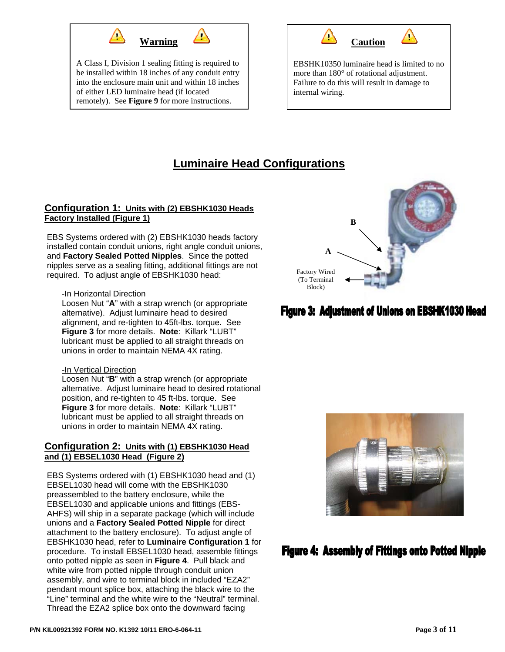

A Class I, Division 1 sealing fitting is required to be installed within 18 inches of any conduit entry into the enclosure main unit and within 18 inches of either LED luminaire head (if located remotely). See **Figure 9** for more instructions.



EBSHK10350 luminaire head is limited to no more than 180° of rotational adjustment. Failure to do this will result in damage to internal wiring.

# **Luminaire Head Configurations**

#### **Configuration 1: Units with (2) EBSHK1030 Heads Factory Installed (Figure 1)**

EBS Systems ordered with (2) EBSHK1030 heads factory installed contain conduit unions, right angle conduit unions, and **Factory Sealed Potted Nipples**. Since the potted nipples serve as a sealing fitting, additional fittings are not required. To adjust angle of EBSHK1030 head:

#### **-In Horizontal Direction**

Loosen Nut "**A**" with a strap wrench (or appropriate alternative). Adjust luminaire head to desired alignment, and re-tighten to 45ft-lbs. torque. See **Figure 3** for more details. **Note**: Killark "LUBT" lubricant must be applied to all straight threads on unions in order to maintain NEMA 4X rating.

#### -In Vertical Direction

Loosen Nut "**B**" with a strap wrench (or appropriate alternative. Adjust luminaire head to desired rotational position, and re-tighten to 45 ft-lbs. torque. See **Figure 3** for more details. **Note**: Killark "LUBT" lubricant must be applied to all straight threads on unions in order to maintain NEMA 4X rating.

#### **Configuration 2: Units with (1) EBSHK1030 Head and (1) EBSEL1030 Head (Figure 2)**

EBS Systems ordered with (1) EBSHK1030 head and (1) EBSEL1030 head will come with the EBSHK1030 preassembled to the battery enclosure, while the EBSEL1030 and applicable unions and fittings (EBS-AHFS) will ship in a separate package (which will include unions and a **Factory Sealed Potted Nipple** for direct attachment to the battery enclosure). To adjust angle of EBSHK1030 head, refer to **Luminaire Configuration 1** for procedure. To install EBSEL1030 head, assemble fittings onto potted nipple as seen in **Figure 4**. Pull black and white wire from potted nipple through conduit union assembly, and wire to terminal block in included "EZA2" pendant mount splice box, attaching the black wire to the "Line" terminal and the white wire to the "Neutral" terminal. Thread the EZA2 splice box onto the downward facing



# **Figure 3: Adjustment of Unions on EBSHK1030 Head**



# **Figure 4: Assembly of Fittings onto Potted Nipple**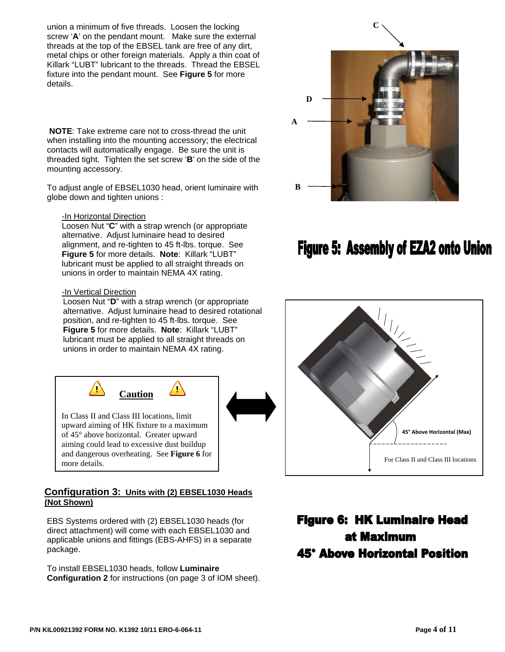union a minimum of five threads. Loosen the locking screw '**A**' on the pendant mount. Make sure the external threads at the top of the EBSEL tank are free of any dirt, metal chips or other foreign materials. Apply a thin coat of Killark "LUBT" lubricant to the threads. Thread the EBSEL fixture into the pendant mount. See **Figure 5** for more details.

**NOTE**: Take extreme care not to cross-thread the unit when installing into the mounting accessory; the electrical contacts will automatically engage. Be sure the unit is threaded tight. Tighten the set screw '**B**' on the side of the mounting accessory.

To adjust angle of EBSEL1030 head, orient luminaire with globe down and tighten unions :

-In Horizontal Direction

Loosen Nut "**C**" with a strap wrench (or appropriate alternative. Adjust luminaire head to desired alignment, and re-tighten to 45 ft-lbs. torque. See **Figure 5** for more details. **Note**: Killark "LUBT" lubricant must be applied to all straight threads on unions in order to maintain NEMA 4X rating.

#### -In Vertical Direction

 $\langle \rangle$ 

Loosen Nut "**D**" with a strap wrench (or appropriate alternative. Adjust luminaire head to desired rotational position, and re-tighten to 45 ft-lbs. torque. See **Figure 5** for more details. **Note**: Killark "LUBT" lubricant must be applied to all straight threads on unions in order to maintain NEMA 4X rating.

 $\bigcirc$ 

In Class II and Class III locations, limit upward aiming of HK fixture to a maximum of 45° above horizontal. Greater upward aiming could lead to excessive dust buildup and dangerous overheating. See **Figure 6** for more details.

**Caution** 

#### **Configuration 3: Units with (2) EBSEL1030 Heads (Not Shown)**

EBS Systems ordered with (2) EBSEL1030 heads (for direct attachment) will come with each EBSEL1030 and applicable unions and fittings (EBS-AHFS) in a separate package.

To install EBSEL1030 heads, follow **Luminaire Configuration 2** for instructions (on page 3 of IOM sheet).



# Figure 5: Assembly of EZA2 onto Union



# **Figure 6: HK Luminaire Head** at Maximum **45° Above Horizontal Position**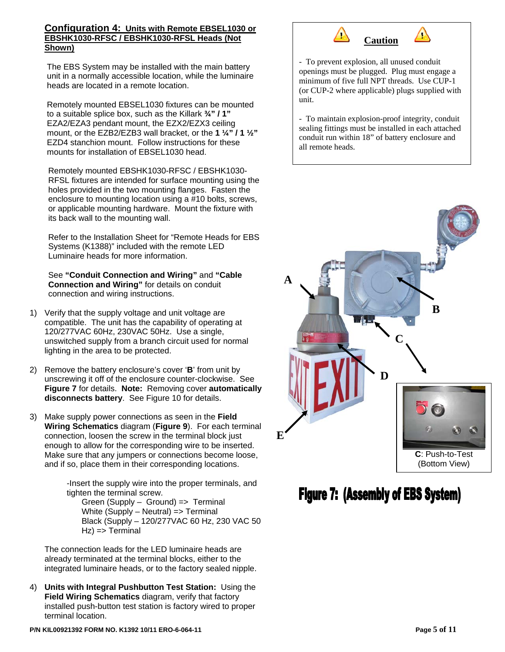#### **Configuration 4: Units with Remote EBSEL1030 or EBSHK1030-RFSC / EBSHK1030-RFSL Heads (Not Shown)**

The EBS System may be installed with the main battery unit in a normally accessible location, while the luminaire heads are located in a remote location.

Remotely mounted EBSEL1030 fixtures can be mounted to a suitable splice box, such as the Killark **¾" / 1"** EZA2/EZA3 pendant mount, the EZX2/EZX3 ceiling mount, or the EZB2/EZB3 wall bracket, or the **1 ¼" / 1 ½"** EZD4 stanchion mount. Follow instructions for these mounts for installation of EBSEL1030 head.

Remotely mounted EBSHK1030-RFSC / EBSHK1030- RFSL fixtures are intended for surface mounting using the holes provided in the two mounting flanges. Fasten the enclosure to mounting location using a #10 bolts, screws, or applicable mounting hardware. Mount the fixture with its back wall to the mounting wall.

Refer to the Installation Sheet for "Remote Heads for EBS Systems (K1388)" included with the remote LED Luminaire heads for more information.

See **"Conduit Connection and Wiring"** and **"Cable Connection and Wiring"** for details on conduit connection and wiring instructions.

- 1) Verify that the supply voltage and unit voltage are compatible. The unit has the capability of operating at 120/277VAC 60Hz, 230VAC 50Hz. Use a single, unswitched supply from a branch circuit used for normal lighting in the area to be protected.
- 2) Remove the battery enclosure's cover '**B**' from unit by unscrewing it off of the enclosure counter-clockwise. See **Figure 7** for details. **Note:** Removing cover **automatically disconnects battery**. See Figure 10 for details.
- 3) Make supply power connections as seen in the **Field Wiring Schematics** diagram (**Figure 9**). For each terminal connection, loosen the screw in the terminal block just enough to allow for the corresponding wire to be inserted. Make sure that any jumpers or connections become loose, and if so, place them in their corresponding locations.

-Insert the supply wire into the proper terminals, and tighten the terminal screw.

Green (Supply – Ground) => Terminal White (Supply – Neutral) => Terminal Black (Supply – 120/277VAC 60 Hz, 230 VAC 50 Hz) => Terminal

The connection leads for the LED luminaire heads are already terminated at the terminal blocks, either to the integrated luminaire heads, or to the factory sealed nipple.

4) **Units with Integral Pushbutton Test Station:** Using the **Field Wiring Schematics** diagram, verify that factory installed push-button test station is factory wired to proper terminal location.



- To prevent explosion, all unused conduit openings must be plugged. Plug must engage a minimum of five full NPT threads. Use CUP-1 (or CUP-2 where applicable) plugs supplied with unit.

- To maintain explosion-proof integrity, conduit sealing fittings must be installed in each attached conduit run within 18" of battery enclosure and all remote heads.



**Figure 7: (Assembly of EBS System)**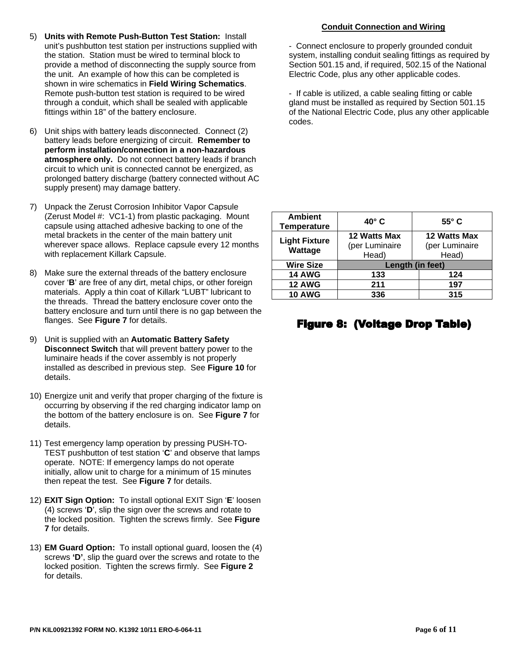- 5) **Units with Remote Push-Button Test Station:** Install unit's pushbutton test station per instructions supplied with the station. Station must be wired to terminal block to provide a method of disconnecting the supply source from the unit. An example of how this can be completed is shown in wire schematics in **Field Wiring Schematics**. Remote push-button test station is required to be wired through a conduit, which shall be sealed with applicable fittings within 18" of the battery enclosure.
- 6) Unit ships with battery leads disconnected. Connect (2) battery leads before energizing of circuit. **Remember to perform installation/connection in a non-hazardous atmosphere only.** Do not connect battery leads if branch circuit to which unit is connected cannot be energized, as prolonged battery discharge (battery connected without AC supply present) may damage battery.
- 7) Unpack the Zerust Corrosion Inhibitor Vapor Capsule (Zerust Model #: VC1-1) from plastic packaging. Mount capsule using attached adhesive backing to one of the metal brackets in the center of the main battery unit wherever space allows. Replace capsule every 12 months with replacement Killark Capsule.
- 8) Make sure the external threads of the battery enclosure cover '**B**' are free of any dirt, metal chips, or other foreign materials. Apply a thin coat of Killark "LUBT" lubricant to the threads. Thread the battery enclosure cover onto the battery enclosure and turn until there is no gap between the flanges. See **Figure 7** for details.
- 9) Unit is supplied with an **Automatic Battery Safety Disconnect Switch** that will prevent battery power to the luminaire heads if the cover assembly is not properly installed as described in previous step. See **Figure 10** for details.
- 10) Energize unit and verify that proper charging of the fixture is occurring by observing if the red charging indicator lamp on the bottom of the battery enclosure is on. See **Figure 7** for details.
- 11) Test emergency lamp operation by pressing PUSH-TO-TEST pushbutton of test station '**C**' and observe that lamps operate. NOTE: If emergency lamps do not operate initially, allow unit to charge for a minimum of 15 minutes then repeat the test. See **Figure 7** for details.
- 12) **EXIT Sign Option:** To install optional EXIT Sign '**E**' loosen (4) screws '**D**', slip the sign over the screws and rotate to the locked position. Tighten the screws firmly. See **Figure 7** for details.
- 13) **EM Guard Option:** To install optional guard, loosen the (4) screws **'D'**, slip the guard over the screws and rotate to the locked position. Tighten the screws firmly. See **Figure 2**  for details.

#### **Conduit Connection and Wiring**

- Connect enclosure to properly grounded conduit system, installing conduit sealing fittings as required by Section 501.15 and, if required, 502.15 of the National Electric Code, plus any other applicable codes.

- If cable is utilized, a cable sealing fitting or cable gland must be installed as required by Section 501.15 of the National Electric Code, plus any other applicable codes.

| <b>Ambient</b><br><b>Temperature</b> | $40^\circ$ C                     | $55^{\circ}$ C                 |  |  |
|--------------------------------------|----------------------------------|--------------------------------|--|--|
| <b>Light Fixture</b>                 | 12 Watts Max                     | 12 Watts Max<br>(per Luminaire |  |  |
| Wattage                              | (per Luminaire<br>Head)<br>Head) |                                |  |  |
| <b>Wire Size</b>                     | Length (in feet)                 |                                |  |  |
| <b>14 AWG</b>                        | 133                              | 124                            |  |  |
| <b>12 AWG</b>                        | 211                              | 197                            |  |  |
| <b>10 AWG</b>                        | 336                              | 315                            |  |  |

### **Figure 8: (Voltage Drop Table)**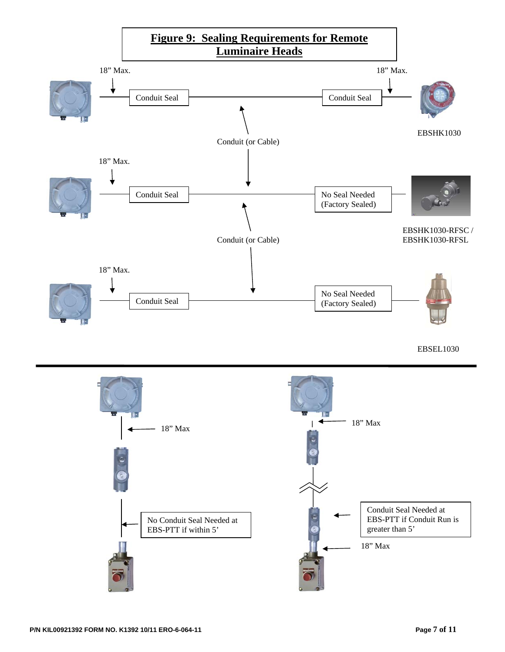

#### EBSEL1030

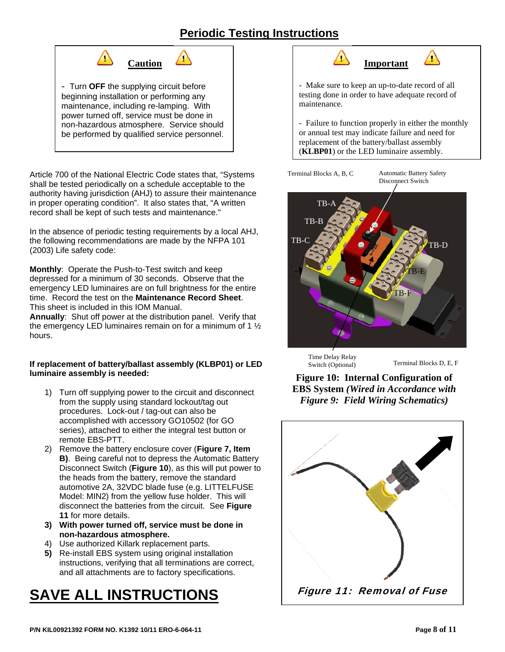# **Periodic Testing Instructions**



Article 700 of the National Electric Code states that, "Systems shall be tested periodically on a schedule acceptable to the authority having jurisdiction (AHJ) to assure their maintenance in proper operating condition". It also states that, "A written record shall be kept of such tests and maintenance."

In the absence of periodic testing requirements by a local AHJ, the following recommendations are made by the NFPA 101 (2003) Life safety code:

**Monthly**: Operate the Push-to-Test switch and keep depressed for a minimum of 30 seconds. Observe that the emergency LED luminaires are on full brightness for the entire time. Record the test on the **Maintenance Record Sheet**. This sheet is included in this IOM Manual.

**Annually**: Shut off power at the distribution panel. Verify that the emergency LED luminaires remain on for a minimum of 1 ½ hours.

#### **If replacement of battery/ballast assembly (KLBP01) or LED luminaire assembly is needed:**

- 1) Turn off supplying power to the circuit and disconnect from the supply using standard lockout/tag out procedures. Lock-out / tag-out can also be accomplished with accessory GO10502 (for GO series), attached to either the integral test button or remote EBS-PTT.
- 2) Remove the battery enclosure cover (**Figure 7, Item B)**. Being careful not to depress the Automatic Battery Disconnect Switch (**Figure 10**), as this will put power to the heads from the battery, remove the standard automotive 2A, 32VDC blade fuse (e.g. LITTELFUSE Model: MIN2) from the yellow fuse holder. This will disconnect the batteries from the circuit. See **Figure 11** for more details.
- **3) With power turned off, service must be done in non-hazardous atmosphere.**
- 4) Use authorized Killark replacement parts.
- **5)** Re-install EBS system using original installation instructions, verifying that all terminations are correct, and all attachments are to factory specifications.

# **SAVE ALL INSTRUCTIONS**



- Make sure to keep an up-to-date record of all testing done in order to have adequate record of maintenance.

- Failure to function properly in either the monthly or annual test may indicate failure and need for replacement of the battery/ballast assembly (**KLBP01**) or the LED luminaire assembly.

Terminal Blocks A, B, C Automatic Battery Safety

Disconnect Switch



Time Delay Relay Switch (Optional)

Terminal Blocks D, E, F

**Figure 10: Internal Configuration of EBS System** *(Wired in Accordance with Figure 9: Field Wiring Schematics)* 

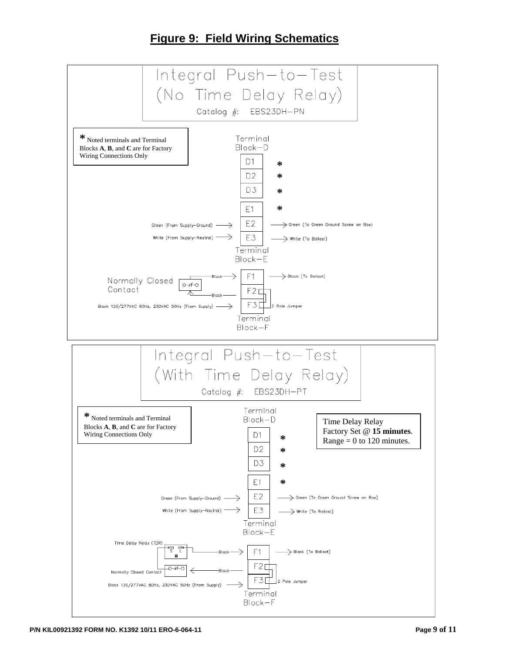# **Figure 9: Field Wiring Schematics**

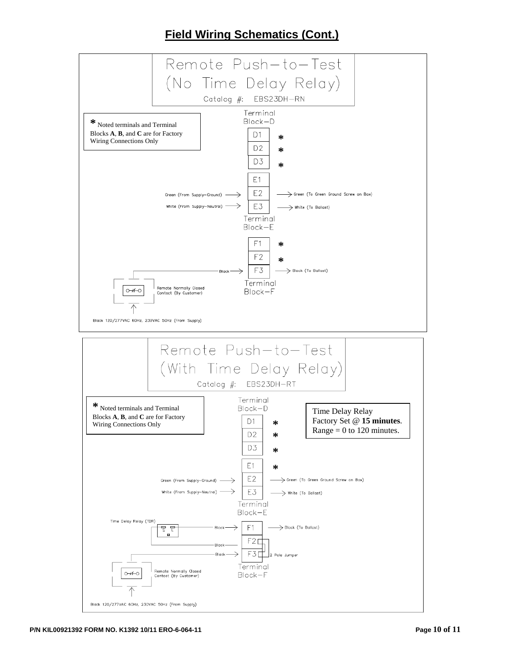## **Field Wiring Schematics (Cont.)**